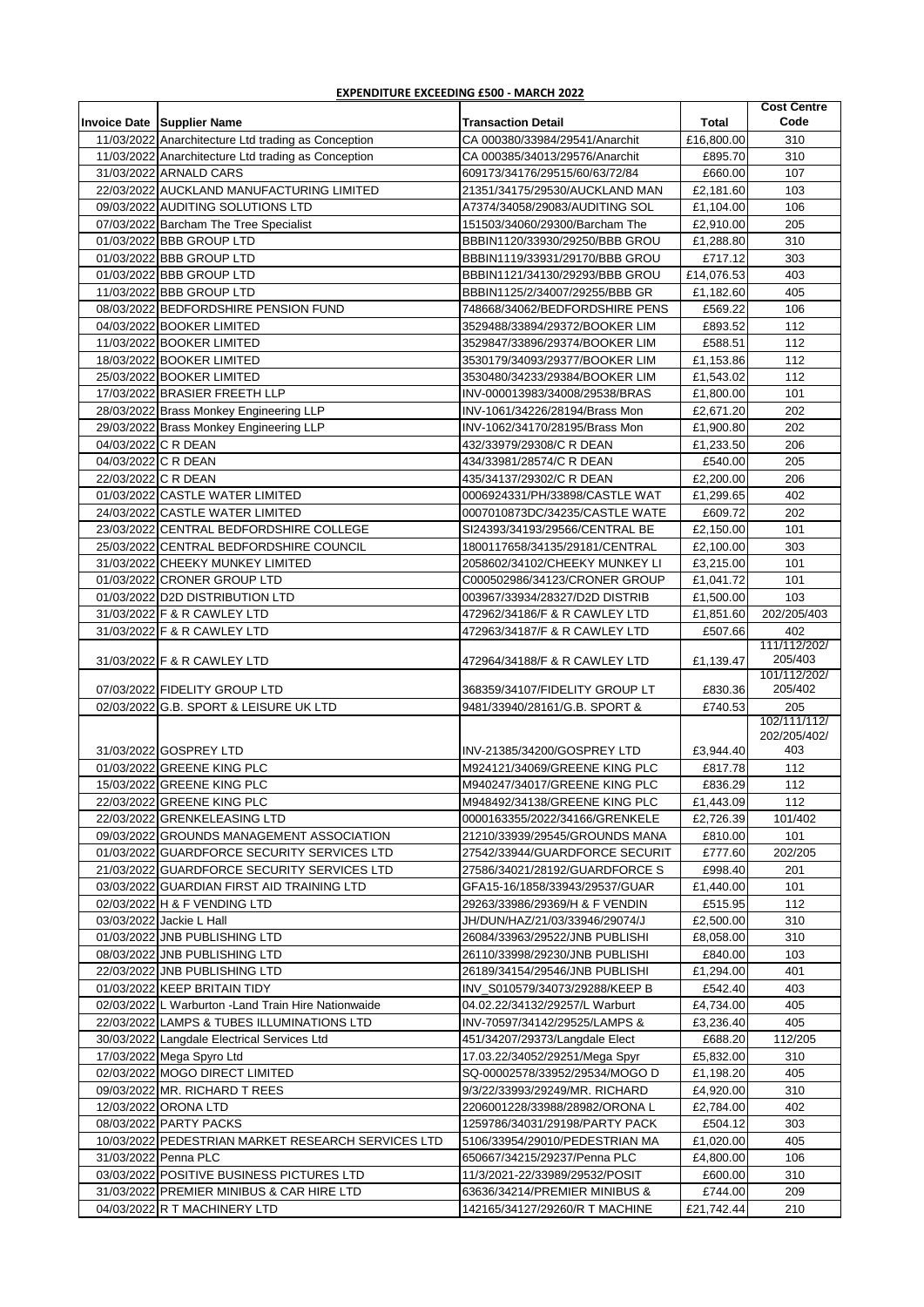| <b>EXPENDITURE EXCEEDING £500 - MARCH 2022</b> |  |  |
|------------------------------------------------|--|--|
|                                                |  |  |

|                     |                                                      |                                                                  |                      | <b>Cost Centre</b>      |
|---------------------|------------------------------------------------------|------------------------------------------------------------------|----------------------|-------------------------|
|                     | <b>Invoice Date Supplier Name</b>                    | <b>Transaction Detail</b>                                        | <b>Total</b>         | Code                    |
|                     | 11/03/2022 Anarchitecture Ltd trading as Conception  | CA 000380/33984/29541/Anarchit                                   | £16,800.00           | 310                     |
|                     | 11/03/2022 Anarchitecture Ltd trading as Conception  | CA 000385/34013/29576/Anarchit                                   | £895.70              | 310                     |
|                     | 31/03/2022 ARNALD CARS                               | 609173/34176/29515/60/63/72/84                                   | £660.00              | 107                     |
|                     | 22/03/2022 AUCKLAND MANUFACTURING LIMITED            | 21351/34175/29530/AUCKLAND MAN                                   | £2,181.60            | 103                     |
|                     | 09/03/2022 AUDITING SOLUTIONS LTD                    | A7374/34058/29083/AUDITING SOL                                   | £1,104.00            | 106                     |
|                     | 07/03/2022 Barcham The Tree Specialist               | 151503/34060/29300/Barcham The                                   | £2,910.00            | 205                     |
|                     | 01/03/2022 BBB GROUP LTD<br>01/03/2022 BBB GROUP LTD | BBBIN1120/33930/29250/BBB GROU<br>BBBIN1119/33931/29170/BBB GROU | £1,288.80<br>£717.12 | 310<br>303              |
|                     | 01/03/2022 BBB GROUP LTD                             | BBBIN1121/34130/29293/BBB GROU                                   | £14.076.53           | 403                     |
|                     | 11/03/2022 BBB GROUP LTD                             | BBBIN1125/2/34007/29255/BBB GR                                   | £1,182.60            | 405                     |
|                     | 08/03/2022 BEDFORDSHIRE PENSION FUND                 | 748668/34062/BEDFORDSHIRE PENS                                   | £569.22              | 106                     |
|                     | 04/03/2022 BOOKER LIMITED                            | 3529488/33894/29372/BOOKER LIM                                   | £893.52              | 112                     |
|                     | 11/03/2022 BOOKER LIMITED                            | 3529847/33896/29374/BOOKER LIM                                   | £588.51              | 112                     |
|                     | 18/03/2022 BOOKER LIMITED                            | 3530179/34093/29377/BOOKER LIM                                   | £1,153.86            | 112                     |
|                     | 25/03/2022 BOOKER LIMITED                            | 3530480/34233/29384/BOOKER LIM                                   | £1,543.02            | 112                     |
|                     | 17/03/2022 BRASIER FREETH LLP                        | INV-000013983/34008/29538/BRAS                                   | £1,800.00            | 101                     |
|                     | 28/03/2022 Brass Monkey Engineering LLP              | INV-1061/34226/28194/Brass Mon                                   | £2,671.20            | 202                     |
|                     | 29/03/2022 Brass Monkey Engineering LLP              | INV-1062/34170/28195/Brass Mon                                   | £1,900.80            | 202                     |
| 04/03/2022 C R DEAN |                                                      | 432/33979/29308/C R DEAN                                         | £1,233.50            | 206                     |
| 04/03/2022 C R DEAN |                                                      | 434/33981/28574/C R DEAN                                         | £540.00              | 205                     |
| 22/03/2022 C R DEAN |                                                      | 435/34137/29302/C R DEAN                                         | £2,200.00            | 206                     |
|                     | 01/03/2022 CASTLE WATER LIMITED                      | 0006924331/PH/33898/CASTLE WAT                                   | £1,299.65            | 402                     |
|                     | 24/03/2022 CASTLE WATER LIMITED                      | 0007010873DC/34235/CASTLE WATE                                   | £609.72              | 202                     |
|                     | 23/03/2022 CENTRAL BEDFORDSHIRE COLLEGE              | SI24393/34193/29566/CENTRAL BE                                   | £2,150.00            | 101                     |
|                     | 25/03/2022 CENTRAL BEDFORDSHIRE COUNCIL              | 1800117658/34135/29181/CENTRAL                                   | £2,100.00            | 303                     |
|                     | 31/03/2022 CHEEKY MUNKEY LIMITED                     | 2058602/34102/CHEEKY MUNKEY LI                                   | £3,215.00            | 101                     |
|                     | 01/03/2022 CRONER GROUP LTD                          | C000502986/34123/CRONER GROUP                                    | £1,041.72            | 101                     |
|                     | 01/03/2022 D2D DISTRIBUTION LTD                      | 003967/33934/28327/D2D DISTRIB                                   | £1,500.00            | 103                     |
|                     | 31/03/2022 F & R CAWLEY LTD                          | 472962/34186/F & R CAWLEY LTD                                    | £1,851.60            | 202/205/403             |
|                     | 31/03/2022 F & R CAWLEY LTD                          | 472963/34187/F & R CAWLEY LTD                                    | £507.66              | 402                     |
|                     | 31/03/2022 F & R CAWLEY LTD                          | 472964/34188/F & R CAWLEY LTD                                    | £1,139.47            | 111/112/202/<br>205/403 |
|                     |                                                      |                                                                  |                      | 101/112/202/            |
|                     | 07/03/2022 FIDELITY GROUP LTD                        | 368359/34107/FIDELITY GROUP LT                                   | £830.36              | 205/402                 |
|                     | 02/03/2022 G.B. SPORT & LEISURE UK LTD               | 9481/33940/28161/G.B. SPORT &                                    | £740.53              | 205                     |
|                     |                                                      |                                                                  |                      | 102/111/112/            |
|                     |                                                      |                                                                  |                      | 202/205/402/<br>403     |
|                     | 31/03/2022 GOSPREY LTD<br>01/03/2022 GREENE KING PLC | INV-21385/34200/GOSPREY LTD<br>M924121/34069/GREENE KING PLC     | £3,944.40<br>£817.78 | 112                     |
|                     | 15/03/2022 GREENE KING PLC                           | M940247/34017/GREENE KING PLC                                    | £836.29              | 112                     |
|                     | 22/03/2022 GREENE KING PLC                           |                                                                  | £1,443.09            | 112                     |
|                     | 22/03/2022 GRENKELEASING LTD                         | M948492/34138/GREENE KING PLC<br>0000163355/2022/34166/GRENKELE  | £2,726.39            | 101/402                 |
|                     | 09/03/2022 GROUNDS MANAGEMENT ASSOCIATION            | 21210/33939/29545/GROUNDS MANA                                   | £810.00              | 101                     |
|                     | 01/03/2022 GUARDFORCE SECURITY SERVICES LTD          | 27542/33944/GUARDFORCE SECURIT                                   | £777.60              | 202/205                 |
|                     | 21/03/2022 GUARDFORCE SECURITY SERVICES LTD          | 27586/34021/28192/GUARDFORCE S                                   | £998.40              | 201                     |
|                     | 03/03/2022 GUARDIAN FIRST AID TRAINING LTD           | GFA15-16/1858/33943/29537/GUAR                                   | £1,440.00            | 101                     |
|                     | 02/03/2022 H & F VENDING LTD                         | 29263/33986/29369/H & F VENDIN                                   | £515.95              | 112                     |
|                     | 03/03/2022 Jackie L Hall                             | JH/DUN/HAZ/21/03/33946/29074/J                                   | £2,500.00            | 310                     |
|                     | 01/03/2022 JNB PUBLISHING LTD                        | 26084/33963/29522/JNB PUBLISHI                                   | £8,058.00            | 310                     |
|                     | 08/03/2022 JNB PUBLISHING LTD                        | 26110/33998/29230/JNB PUBLISHI                                   | £840.00              | 103                     |
|                     | 22/03/2022 JNB PUBLISHING LTD                        | 26189/34154/29546/JNB PUBLISHI                                   | £1,294.00            | 401                     |
|                     | 01/03/2022 KEEP BRITAIN TIDY                         | INV_S010579/34073/29288/KEEP B                                   | £542.40              | 403                     |
|                     | 02/03/2022 L Warburton - Land Train Hire Nationwaide | 04.02.22/34132/29257/L Warburt                                   | £4,734.00            | 405                     |
|                     | 22/03/2022 LAMPS & TUBES ILLUMINATIONS LTD           | INV-70597/34142/29525/LAMPS &                                    | £3,236.40            | 405                     |
|                     | 30/03/2022 Langdale Electrical Services Ltd          | 451/34207/29373/Langdale Elect                                   | £688.20              | 112/205                 |
|                     | 17/03/2022 Mega Spyro Ltd                            | 17.03.22/34052/29251/Mega Spyr                                   | £5,832.00            | 310                     |
|                     | 02/03/2022 MOGO DIRECT LIMITED                       | SQ-00002578/33952/29534/MOGO D                                   | £1,198.20            | 405                     |
|                     | 09/03/2022 MR. RICHARD T REES                        | 9/3/22/33993/29249/MR. RICHARD                                   | £4,920.00            | 310                     |
|                     | 12/03/2022 ORONA LTD                                 | 2206001228/33988/28982/ORONA L                                   | £2,784.00            | 402                     |
|                     | 08/03/2022 PARTY PACKS                               | 1259786/34031/29198/PARTY PACK                                   | £504.12              | 303                     |
|                     | 10/03/2022 PEDESTRIAN MARKET RESEARCH SERVICES LTD   | 5106/33954/29010/PEDESTRIAN MA                                   | £1,020.00            | 405                     |
|                     | 31/03/2022 Penna PLC                                 | 650667/34215/29237/Penna PLC                                     | £4,800.00            | 106                     |
|                     | 03/03/2022 POSITIVE BUSINESS PICTURES LTD            | 11/3/2021-22/33989/29532/POSIT                                   | £600.00              | 310                     |
|                     | 31/03/2022 PREMIER MINIBUS & CAR HIRE LTD            | 63636/34214/PREMIER MINIBUS &                                    | £744.00              | 209                     |
|                     | 04/03/2022 R T MACHINERY LTD                         | 142165/34127/29260/R T MACHINE                                   | £21,742.44           | 210                     |